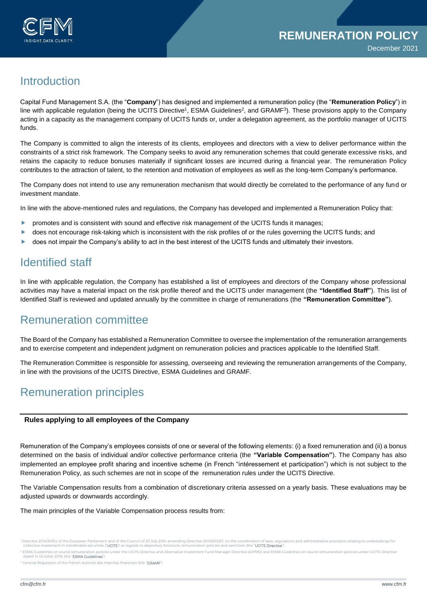

# **Introduction**

Capital Fund Management S.A. (the "**Company**") has designed and implemented a remuneration policy (the "**Remuneration Policy**") in line with applicable regulation (being the UCITS Directive<sup>1</sup>, ESMA Guidelines<sup>2</sup>, and GRAMF<sup>3</sup>). These provisions apply to the Company acting in a capacity as the management company of UCITS funds or, under a delegation agreement, as the portfolio manager of UCITS funds.

The Company is committed to align the interests of its clients, employees and directors with a view to deliver performance within the constraints of a strict risk framework. The Company seeks to avoid any remuneration schemes that could generate excessive risks, and retains the capacity to reduce bonuses materially if significant losses are incurred during a financial year. The remuneration Policy contributes to the attraction of talent, to the retention and motivation of employees as well as the long-term Company's performance.

The Company does not intend to use any remuneration mechanism that would directly be correlated to the performance of any fund or investment mandate.

In line with the above-mentioned rules and regulations, the Company has developed and implemented a Remuneration Policy that:

- **Peromotes and is consistent with sound and effective risk management of the UCITS funds it manages;**
- **Deset on the right of the risk-taking which is inconsistent with the risk profiles of or the rules governing the UCITS funds; and**
- ▶ does not impair the Company's ability to act in the best interest of the UCITS funds and ultimately their investors.

# Identified staff

In line with applicable regulation, the Company has established a list of employees and directors of the Company whose professional activities may have a material impact on the risk profile thereof and the UCITS under management (the **"Identified Staff"**). This list of Identified Staff is reviewed and updated annually by the committee in charge of remunerations (the **"Remuneration Committee"**).

## Remuneration committee

The Board of the Company has established a Remuneration Committee to oversee the implementation of the remuneration arrangements and to exercise competent and independent judgment on remuneration policies and practices applicable to the Identified Staff.

The Remuneration Committee is responsible for assessing, overseeing and reviewing the remuneration arrangements of the Company, in line with the provisions of the UCITS Directive, ESMA Guidelines and GRAMF.

## Remuneration principles

#### **Rules applying to all employees of the Company**

Remuneration of the Company's employees consists of one or several of the following elements: (i) a fixed remuneration and (ii) a bonus determined on the basis of individual and/or collective performance criteria (the **"Variable Compensation"**). The Company has also implemented an employee profit sharing and incentive scheme (in French "intéressement et participation") which is not subject to the Remuneration Policy, as such schemes are not in scope of the remuneration rules under the UCITS Directive.

The Variable Compensation results from a combination of discretionary criteria assessed on a yearly basis. These evaluations may be adjusted upwards or downwards accordingly.

The main principles of the Variable Compensation process results from:

<sup>&</sup>lt;sup>1</sup> Directive 2014/91/EU of the European Parliament and of the Council of 23 July 2014 amending Directive 2009/65/EC on the coordination of laws, regulations and administrative provisions relating to undertakings for<br>colle لتابيون والمستعرين or the Luropean Parliament and of the Council of 23 July 2014 amending Directive 2009/65/EC on the coordination of laws, regulations and administrative provisions relating to undertakings for collective

dated 14 October 2016 (the "ESMA Guidelines")

 $3$  General Regulation of the French Autorité des marchés financiers (the "**GRAMF**